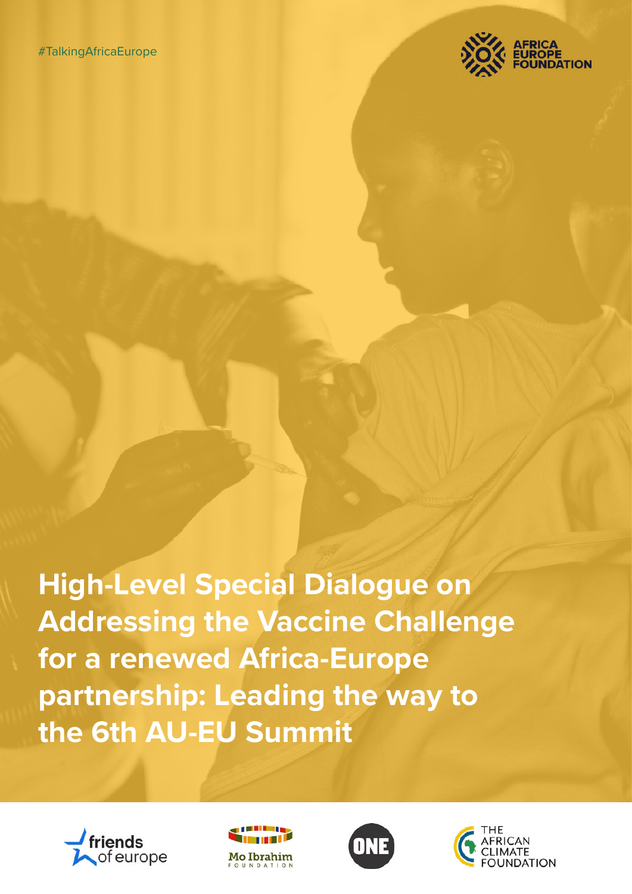

**High-Level Special Dialogue on Addressing the Vaccine Challenge for a renewed Africa-Europe partnership: Leading the way to the 6th AU-EU Summit**







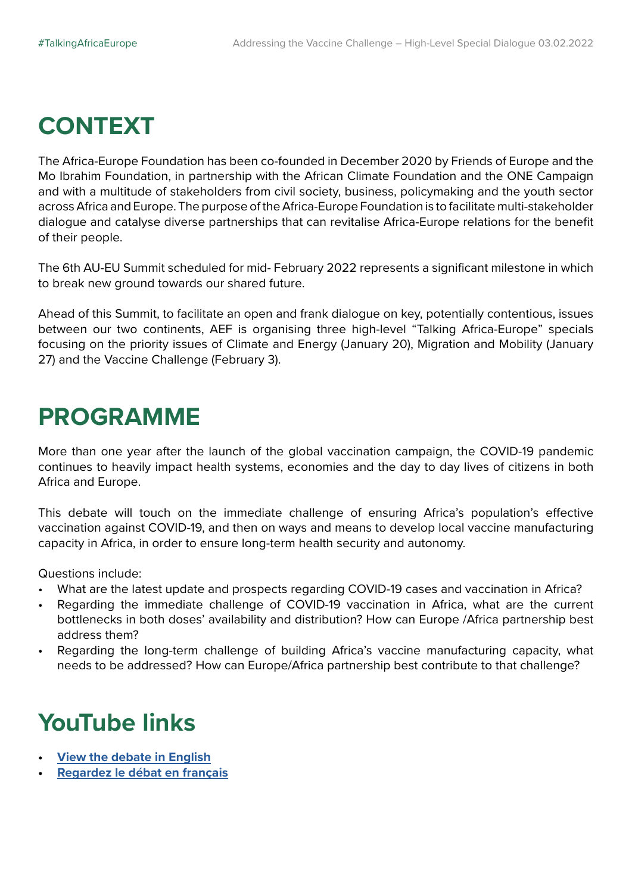## **CONTEXT**

The Africa-Europe Foundation has been co-founded in December 2020 by Friends of Europe and the Mo Ibrahim Foundation, in partnership with the African Climate Foundation and the ONE Campaign and with a multitude of stakeholders from civil society, business, policymaking and the youth sector across Africa and Europe. The purpose of the Africa-Europe Foundation is to facilitate multi-stakeholder dialogue and catalyse diverse partnerships that can revitalise Africa-Europe relations for the benefit of their people.

The 6th AU-EU Summit scheduled for mid- February 2022 represents a significant milestone in which to break new ground towards our shared future.

Ahead of this Summit, to facilitate an open and frank dialogue on key, potentially contentious, issues between our two continents, AEF is organising three high-level "Talking Africa-Europe" specials focusing on the priority issues of Climate and Energy (January 20), Migration and Mobility (January 27) and the Vaccine Challenge (February 3).

### **PROGRAMME**

More than one year after the launch of the global vaccination campaign, the COVID-19 pandemic continues to heavily impact health systems, economies and the day to day lives of citizens in both Africa and Europe.

This debate will touch on the immediate challenge of ensuring Africa's population's effective vaccination against COVID-19, and then on ways and means to develop local vaccine manufacturing capacity in Africa, in order to ensure long-term health security and autonomy.

Questions include:

- What are the latest update and prospects regarding COVID-19 cases and vaccination in Africa?
- Regarding the immediate challenge of COVID-19 vaccination in Africa, what are the current bottlenecks in both doses' availability and distribution? How can Europe /Africa partnership best address them?
- Regarding the long-term challenge of building Africa's vaccine manufacturing capacity, what needs to be addressed? How can Europe/Africa partnership best contribute to that challenge?

# **YouTube links**

- **• [View the debate in English](https://www.youtube.com/watch?v=hnhF7q4AY1w&t=1s)**
- **• [Regardez le débat en français](https://www.youtube.com/watch?v=U8mIEv5iC_s)**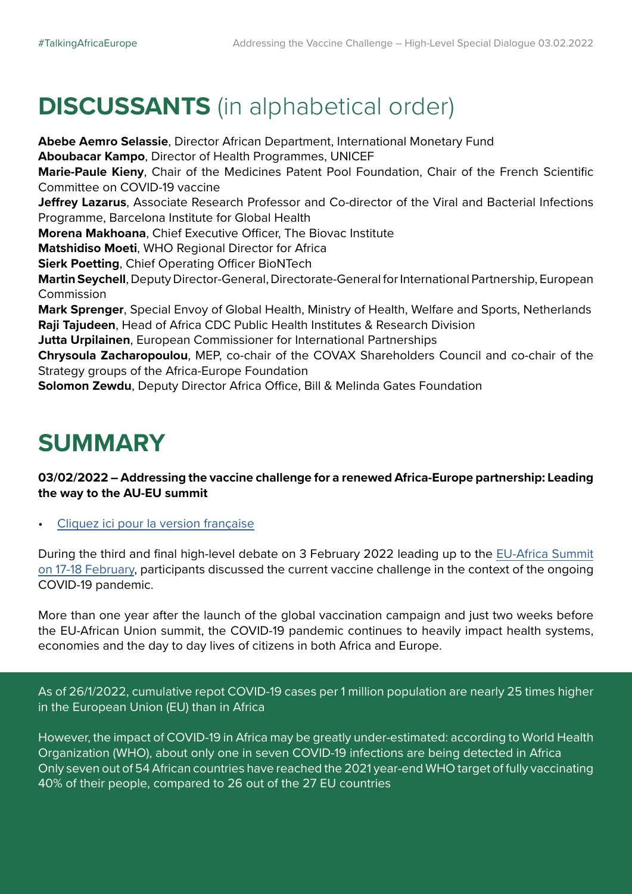# **DISCUSSANTS** (in alphabetical order)

**Abebe Aemro Selassie**, Director African Department, International Monetary Fund **Aboubacar Kampo**, Director of Health Programmes, UNICEF **Marie-Paule Kieny**, Chair of the Medicines Patent Pool Foundation, Chair of the French Scientific Committee on COVID-19 vaccine **Jeffrey Lazarus**, Associate Research Professor and Co-director of the Viral and Bacterial Infections Programme, Barcelona Institute for Global Health **Morena Makhoana**, Chief Executive Officer, The Biovac Institute **Matshidiso Moeti**, WHO Regional Director for Africa **Sierk Poetting**, Chief Operating Officer BioNTech **Martin Seychell**, Deputy Director-General, Directorate-General for International Partnership, European Commission **Mark Sprenger**, Special Envoy of Global Health, Ministry of Health, Welfare and Sports, Netherlands **Raji Tajudeen**, Head of Africa CDC Public Health Institutes & Research Division **Jutta Urpilainen**, European Commissioner for International Partnerships **Chrysoula Zacharopoulou**, MEP, co-chair of the COVAX Shareholders Council and co-chair of the Strategy groups of the Africa-Europe Foundation **Solomon Zewdu**, Deputy Director Africa Office, Bill & Melinda Gates Foundation

# **SUMMARY**

#### **03/02/2022 – Addressing the vaccine challenge for a renewed Africa-Europe partnership: Leading the way to the AU-EU summit**

• [Cliquez ici pour la version française](https://www.friendsofeurope.org/wp/wp-content/uploads/2022/02/AEF-Highlights_TalkingAfricaEurope_3-February_FR.pdf)

During the third and final high-level debate on 3 February 2022 leading up to the [EU-Africa Summit](https://www.consilium.europa.eu/en/meetings/international-summit/2022/02/17-18/) [on 17-18 February,](https://www.consilium.europa.eu/en/meetings/international-summit/2022/02/17-18/) participants discussed the current vaccine challenge in the context of the ongoing COVID-19 pandemic.

More than one year after the launch of the global vaccination campaign and just two weeks before the EU-African Union summit, the COVID-19 pandemic continues to heavily impact health systems, economies and the day to day lives of citizens in both Africa and Europe.

As of 26/1/2022, cumulative repot COVID-19 cases per 1 million population are nearly 25 times higher in the European Union (EU) than in Africa

However, the impact of COVID-19 in Africa may be greatly under-estimated: according to World Health Organization (WHO), about only one in seven COVID-19 infections are being detected in Africa Only seven out of 54 African countries have reached the 2021 year-end WHO target of fully vaccinating 40% of their people, compared to 26 out of the 27 EU countries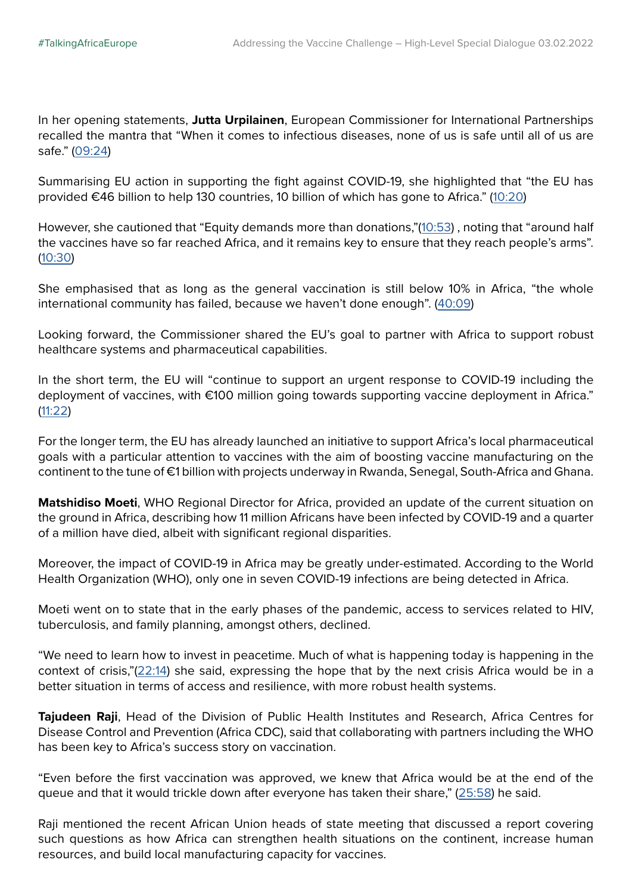In her opening statements, **Jutta Urpilainen**, European Commissioner for International Partnerships recalled the mantra that "When it comes to infectious diseases, none of us is safe until all of us are safe." ([09:24\)](https://youtu.be/hnhF7q4AY1w?t=564)

Summarising EU action in supporting the fight against COVID-19, she highlighted that "the EU has provided €46 billion to help 130 countries, 10 billion of which has gone to Africa." ([10:20](https://youtu.be/hnhF7q4AY1w?t=620))

However, she cautioned that "Equity demands more than donations,"[\(10:53](https://youtu.be/hnhF7q4AY1w?t=655)) , noting that "around half the vaccines have so far reached Africa, and it remains key to ensure that they reach people's arms". ([10:30](https://youtu.be/hnhF7q4AY1w?t=630))

She emphasised that as long as the general vaccination is still below 10% in Africa, "the whole international community has failed, because we haven't done enough". [\(40:09\)](https://youtu.be/hnhF7q4AY1w?t=2409)

Looking forward, the Commissioner shared the EU's goal to partner with Africa to support robust healthcare systems and pharmaceutical capabilities.

In the short term, the EU will "continue to support an urgent response to COVID-19 including the deployment of vaccines, with €100 million going towards supporting vaccine deployment in Africa." ([11:22\)](https://youtu.be/hnhF7q4AY1w?t=682)

For the longer term, the EU has already launched an initiative to support Africa's local pharmaceutical goals with a particular attention to vaccines with the aim of boosting vaccine manufacturing on the continent to the tune of €1 billion with projects underway in Rwanda, Senegal, South-Africa and Ghana.

**Matshidiso Moeti**, WHO Regional Director for Africa, provided an update of the current situation on the ground in Africa, describing how 11 million Africans have been infected by COVID-19 and a quarter of a million have died, albeit with significant regional disparities.

Moreover, the impact of COVID-19 in Africa may be greatly under-estimated. According to the World Health Organization (WHO), only one in seven COVID-19 infections are being detected in Africa.

Moeti went on to state that in the early phases of the pandemic, access to services related to HIV, tuberculosis, and family planning, amongst others, declined.

"We need to learn how to invest in peacetime. Much of what is happening today is happening in the context of crisis,"([22:14](https://youtu.be/hnhF7q4AY1w?t=1334)) she said, expressing the hope that by the next crisis Africa would be in a better situation in terms of access and resilience, with more robust health systems.

**Tajudeen Raji**, Head of the Division of Public Health Institutes and Research, Africa Centres for Disease Control and Prevention (Africa CDC), said that collaborating with partners including the WHO has been key to Africa's success story on vaccination.

"Even before the first vaccination was approved, we knew that Africa would be at the end of the queue and that it would trickle down after everyone has taken their share," [\(25:58](https://youtu.be/hnhF7q4AY1w?t=1558)) he said.

Raji mentioned the recent African Union heads of state meeting that discussed a report covering such questions as how Africa can strengthen health situations on the continent, increase human resources, and build local manufacturing capacity for vaccines.